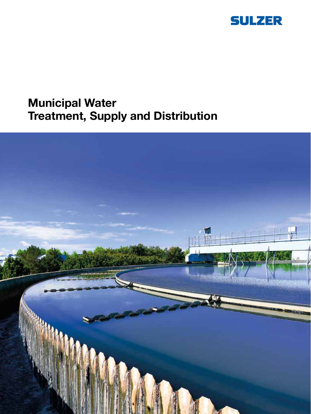

# Municipal Water Treatment, Supply and Distribution

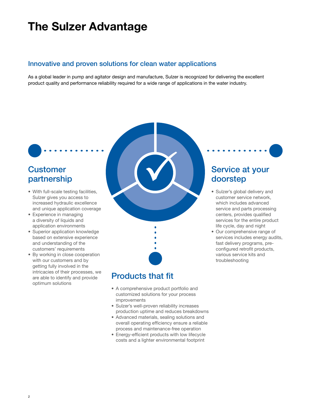## The Sulzer Advantage

### Innovative and proven solutions for clean water applications

As a global leader in pump and agitator design and manufacture, Sulzer is recognized for delivering the excellent product quality and performance reliability required for a wide range of applications in the water industry.

## **Customer** partnership

- With full-scale testing facilities, Sulzer gives you access to increased hydraulic excellence and unique application coverage
- Experience in managing a diversity of liquids and application environments
- Superior application knowledge based on extensive experience and understanding of the customers' requirements
- By working in close cooperation with our customers and by getting fully involved in the intricacies of their processes, we are able to identify and provide optimum solutions



## Products that fit

- A comprehensive product portfolio and customized solutions for your process improvements
- Sulzer's well-proven reliability increases production uptime and reduces breakdowns
- Advanced materials, sealing solutions and overall operating efficiency ensure a reliable process and maintenance-free operation
- Energy-efficient products with low lifecycle costs and a lighter environmental footprint

## Service at your doorstep

- Sulzer's global delivery and customer service network, which includes advanced service and parts processing centers, provides qualified services for the entire product life cycle, day and night
- Our comprehensive range of services includes energy audits, fast delivery programs, preconfigured retrofit products, various service kits and troubleshooting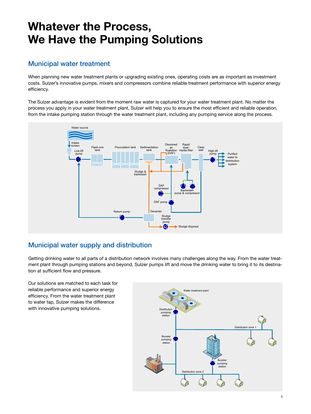## Whatever the Process, We Have the Pumping Solutions

### Municipal water treatment

When planning new water treatment plants or upgrading existing ones, operating costs are as important as investment costs. Sulzer's innovative pumps, mixers and compressors combine reliable treatment performance with superior energy efficiency.

The Sulzer advantage is evident from the moment raw water is captured for your water treatment plant. No matter the process you apply in your water treatment plant, Sulzer will help you to ensure the most efficient and reliable operation, from the intake pumping station through the water treatment plant, including any pumping service along the process.



### Municipal water supply and distribution

Getting drinking water to all parts of a distribution network involves many challenges along the way. From the water treatment plant through pumping stations and beyond, Sulzer pumps lift and move the drinking water to bring it to its destination at sufficient flow and pressure.

Our solutions are matched to each task for reliable performance and superior energy efficiency. From the water treatment plant to water tap, Sulzer makes the difference with innovative pumping solutions.

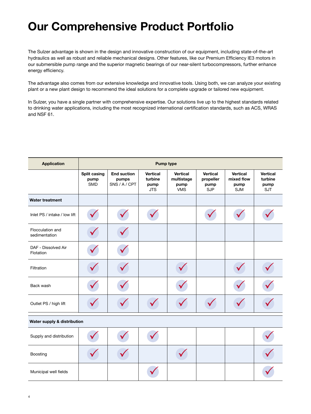# Our Comprehensive Product Portfolio

The Sulzer advantage is shown in the design and innovative construction of our equipment, including state-of-the-art hydraulics as well as robust and reliable mechanical designs. Other features, like our Premium Efficiency IE3 motors in our submersible pump range and the superior magnetic bearings of our near-silent turbocompressors, further enhance energy efficiency.

The advantage also comes from our extensive knowledge and innovative tools. Using both, we can analyze your existing plant or a new plant design to recommend the ideal solutions for a complete upgrade or tailored new equipment.

In Sulzer, you have a single partner with comprehensive expertise. Our solutions live up to the highest standards related to drinking water applications, including the most recognized international certification standards, such as ACS, WRAS and NSF 61.

| <b>Application</b>                | <b>Pump type</b>                   |                                              |                                           |                                                     |                                                    |                                       |                                                  |
|-----------------------------------|------------------------------------|----------------------------------------------|-------------------------------------------|-----------------------------------------------------|----------------------------------------------------|---------------------------------------|--------------------------------------------------|
|                                   | Split casing<br>pump<br><b>SMD</b> | <b>End suction</b><br>pumps<br>SNS / A / CPT | Vertical<br>turbine<br>pump<br><b>JTS</b> | <b>Vertical</b><br>multistage<br>pump<br><b>VMS</b> | <b>Vertical</b><br>propeller<br>pump<br><b>SJP</b> | Vertical<br>mixed flow<br>pump<br>SJM | <b>Vertical</b><br>turbine<br>pump<br><b>SJT</b> |
| <b>Water treatment</b>            |                                    |                                              |                                           |                                                     |                                                    |                                       |                                                  |
| Inlet PS / intake / low lift      |                                    |                                              |                                           |                                                     |                                                    |                                       |                                                  |
| Flocculation and<br>sedimentation |                                    |                                              |                                           |                                                     |                                                    |                                       |                                                  |
| DAF - Dissolved Air<br>Flotation  |                                    |                                              |                                           |                                                     |                                                    |                                       |                                                  |
| Filtration                        |                                    |                                              |                                           |                                                     |                                                    |                                       |                                                  |
| Back wash                         |                                    |                                              |                                           |                                                     |                                                    |                                       |                                                  |
| Outlet PS / high lift             |                                    |                                              |                                           |                                                     |                                                    |                                       |                                                  |
| Water supply & distribution       |                                    |                                              |                                           |                                                     |                                                    |                                       |                                                  |
| Supply and distribution           |                                    |                                              |                                           |                                                     |                                                    |                                       |                                                  |
| Boosting                          |                                    |                                              |                                           |                                                     |                                                    |                                       |                                                  |
| Municipal well fields             |                                    |                                              |                                           |                                                     |                                                    |                                       |                                                  |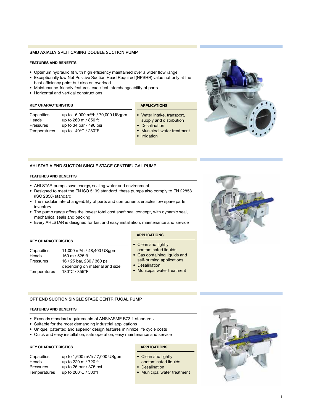#### SMD AXIALLY SPLIT CASING DOUBLE SUCTION PUMP

#### FEATURES AND BENEFITS

- Optimum hydraulic fit with high efficiency maintained over a wider flow range
- Exceptionally low Net Positive Suction Head Required (NPSHR) value not only at the best efficiency point but also on overload
- Maintenance-friendly features; excellent interchangeability of parts
- Horizontal and vertical constructions

#### KEY CHARACTERISTICS

| Capacities   | up to 16,000 m <sup>3</sup> /h / 70,000 USgpm |
|--------------|-----------------------------------------------|
| Heads        | up to 260 m / 850 ft                          |
| Pressures    | up to 34 bar / 490 psi                        |
| Temperatures | up to 140°C / 280°F                           |

#### APPLICATIONS

- Water intake, transport, supply and distribution
- Desalination
- Municipal water treatment
- Irrigation



#### AHLSTAR A END SUCTION SINGLE STAGE CENTRIFUGAL PUMP

#### FEATURES AND BENEFITS

- AHLSTAR pumps save energy, sealing water and environment
- Designed to meet the EN ISO 5199 standard, these pumps also comply to EN 22858 (ISO 2858) standard
- The modular interchangeability of parts and components enables low spare parts inventory
- The pump range offers the lowest total cost shaft seal concept, with dynamic seal, mechanical seals and packing
- Every AHLSTAR is designed for fast and easy installation, maintenance and service

#### KEY CHARACTERISTICS

Capacities 11,000 m<sup>3</sup> /h / 48,400 USgpm Heads 160 m / 525 ft Pressures 16 / 25 bar, 230 / 360 psi, depending on material and size Temperatures 180°C / 355°F

#### APPLICATIONS

- Clean and lightly contaminated liquids
- Gas containing liquids and self-priming applications
- Desalination
- Municipal water treatment

#### CPT END SUCTION SINGLE STAGE CENTRIFUGAL PUMP

#### FEATURES AND BENEFITS

- Exceeds standard requirements of ANSI/ASME B73.1 standards
- Suitable for the most demanding industrial applications
- Unique, patented and superior design features minimize life cycle costs
- Quick and easy installation, safe operation, easy maintenance and service

#### KEY CHARACTERISTICS

Capacities up to 1,600 m<sup>3</sup> /h / 7,000 USgpm Heads up to 220 m / 720 ft Pressures up to 26 bar / 375 psi Temperatures up to 260°C / 500°F

#### APPLICATIONS

- Clean and lightly contaminated liquids
- **Desalination**
- Municipal water treatment

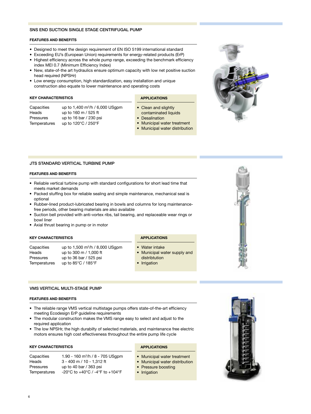#### SNS END SUCTION SINGLE STAGE CENTRIFUGAL PUMP

#### FEATURES AND BENEFITS

- Designed to meet the design requirement of EN ISO 5199 international standard
- Exceeding EU's (European Union) requirements for energy-related products (ErP)
- Highest efficiency across the whole pump range, exceeding the benchmark efficiency index MEI 0.7 (Minimum Efficiency Index)
- New, state-of-the art hydraulics ensure optimum capacity with low net positive suction head required (NPSHr)
- Low energy consumption, high standardization, easy installation and unique construction also equate to lower maintenance and operating costs

#### KEY CHARACTERISTICS

#### APPLICATIONS

- Clean and slightly contaminated liquids
- Desalination
- Municipal water treatment
- Municipal water distribution
- 

#### JTS STANDARD VERTICAL TURBINE PUMP

Capacities up to 1,400 m<sup>3</sup> /h / 6,000 USgpm

Heads up to 160 m / 525 ft Pressures up to 16 bar / 230 psi Temperatures up to 120°C / 250°F

#### FEATURES AND BENEFITS

- Reliable vertical turbine pump with standard configurations for short lead time that meets market demands
- Packed stuffing box for reliable sealing and simple maintenance, mechanical seal is optional
- Rubber-lined product-lubricated bearing in bowls and columns for long maintenancefree periods, other bearing materials are also available
- Suction bell provided with anti-vortex ribs, tail bearing, and replaceable wear rings or bowl liner
- Axial thrust bearing in pump or in motor

#### KEY CHARACTERISTICS

Capacities up to 1,500 m<sup>3</sup>/h / 8,000 USgpm Heads up to 300 m / 1,000 ft Pressures up to 36 bar / 525 psi Temperatures up to 85°C / 185°F

## APPLICATIONS

- Water intake • Municipal water supply and distribtution
- Irrigation

#### VMS VERTICAL MULTI-STAGE PUMP

#### FEATURES AND BENEFITS

- The reliable range VMS vertical multistage pumps offers state-of-the-art efficiency meeting Ecodesign ErP guideline requirements
- The modular construction makes the VMS range easy to select and adjust to the required application
- The low NPSHr, the high durabilty of selected materials, and maintenance free electric motors ensures high cost effectiveness throughout the entire pump life cycle

#### KEY CHARACTERISTICS

| Capacities   | 1.90 - 160 m <sup>3</sup> /h / 8 - 705 USqpm |
|--------------|----------------------------------------------|
| Heads        | 3 - 400 m / 10 - 1.312 ft                    |
| Pressures    | up to 40 bar / 363 psi                       |
| Temperatures | -20°C to +40°C / -4°F to +104°F              |

#### APPLICATIONS

- Municipal water treatment
- Municipal water distribution
- Pressure boosting
- Irrigation



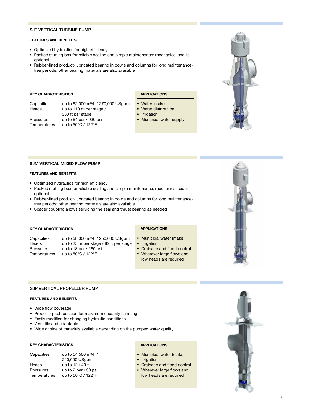#### SJT VERTICAL TURBINE PUMP

#### FEATURES AND BENEFITS

- Optimized hydraulics for high efficiency
- Packed stuffing box for reliable sealing and simple maintenance; mechanical seal is optional
- Rubber-lined product-lubricated bearing in bowls and columns for long maintenancefree periods; other bearing materials are also available

#### KEY CHARACTERISTICS

Pressures up to 64 bar / 930 psi

Capacities up to 62,000 m<sup>3</sup>/h / 270,000 USgpm Heads up to 110 m per stage / 350 ft per stage Temperatures up to 50°C / 122°F

### APPLICATIONS

- Water intake
- Water distribution
- Irrigation
- Municipal water supply



#### SJM VERTICAL MIXED FLOW PUMP

#### FEATURES AND BENEFITS

- Optimized hydraulics for high efficiency
- Packed stuffing box for reliable sealing and simple maintenance; mechanical seal is optional
- Rubber-lined product-lubricated bearing in bowls and columns for long maintenancefree periods; other bearing materials are also available
- Spacer coupling allows servicing the seal and thrust bearing as needed

#### KEY CHARACTERISTICS

Capacities up to 58,000 m<sup>3</sup>/h / 250,000 USgpm Heads up to 25 m per stage / 82 ft per stage Pressures up to 18 bar / 260 psi Temperatures up to 50°C / 122°F

#### SJP VERTICAL PROPELLER PUMP

#### FEATURES AND BENEFITS

- Wide flow coverage
- Propeller pitch position for maximum capacity handling
- Easily modified for changing hydraulic conditions
- Versatile and adaptable
- Wide choice of materials available depending on the pumped water quality

#### KEY CHARACTERISTICS

| Capacities   | up to 54,500 m <sup>3</sup> /h / |
|--------------|----------------------------------|
|              | 240,000 USgpm                    |
| Heads        | up to 12 / 40 ft                 |
| Pressures    | up to 2 bar / 30 psi             |
| Temperatures | up to 50°C / 122°F               |

#### APPLICATIONS

APPLICATIONS

• Irrigation

• Municipal water intake

• Drainage and flood control • Wherever large flows and low heads are required

- Municipal water intake
- Irrigation
- Drainage and flood control
- Wherever large flows and low heads are required